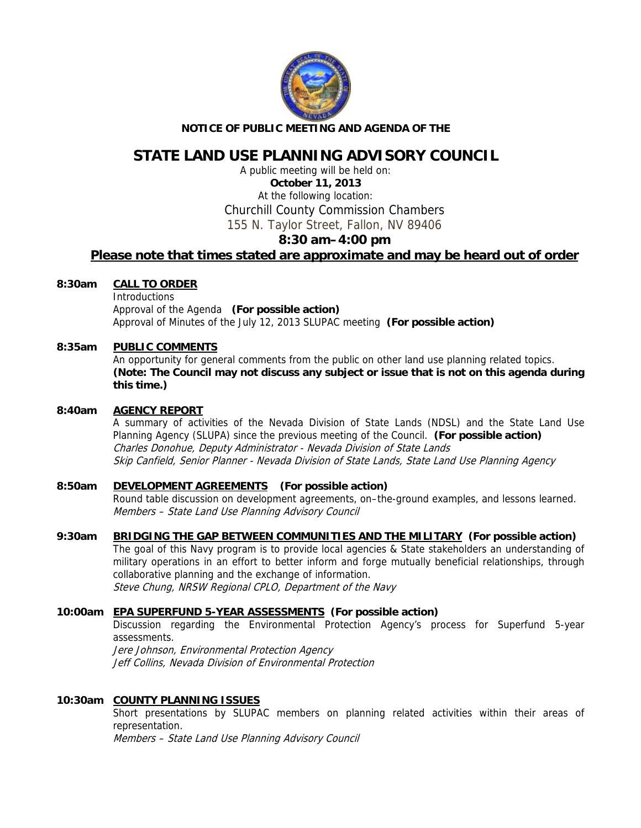

# **NOTICE OF PUBLIC MEETING AND AGENDA OF THE**

# **STATE LAND USE PLANNING ADVISORY COUNCIL**

A public meeting will be held on: **October 11, 2013**  At the following location: Churchill County Commission Chambers 155 N. Taylor Street, Fallon, NV 89406

# **8:30 am–4:00 pm Please note that times stated are approximate and may be heard out of order**

# **8:30am CALL TO ORDER**

**Introductions**  Approval of the Agenda **(For possible action)** Approval of Minutes of the July 12, 2013 SLUPAC meeting **(For possible action)**

# **8:35am PUBLIC COMMENTS**

An opportunity for general comments from the public on other land use planning related topics. **(Note: The Council may not discuss any subject or issue that is not on this agenda during this time.)** 

### **8:40am AGENCY REPORT**

A summary of activities of the Nevada Division of State Lands (NDSL) and the State Land Use Planning Agency (SLUPA) since the previous meeting of the Council. **(For possible action)** Charles Donohue, Deputy Administrator - Nevada Division of State Lands Skip Canfield, Senior Planner - Nevada Division of State Lands, State Land Use Planning Agency

# **8:50am DEVELOPMENT AGREEMENTS (For possible action)**

Round table discussion on development agreements, on–the-ground examples, and lessons learned. Members – State Land Use Planning Advisory Council

# **9:30am BRIDGING THE GAP BETWEEN COMMUNITIES AND THE MILITARY (For possible action)**

The goal of this Navy program is to provide local agencies & State stakeholders an understanding of military operations in an effort to better inform and forge mutually beneficial relationships, through collaborative planning and the exchange of information. Steve Chung, NRSW Regional CPLO, Department of the Navy

#### **10:00am EPA SUPERFUND 5-YEAR ASSESSMENTS (For possible action)**

Discussion regarding the Environmental Protection Agency's process for Superfund 5-year assessments.

Jere Johnson, Environmental Protection Agency Jeff Collins, Nevada Division of Environmental Protection

# **10:30am COUNTY PLANNING ISSUES**

Short presentations by SLUPAC members on planning related activities within their areas of representation.

Members – State Land Use Planning Advisory Council